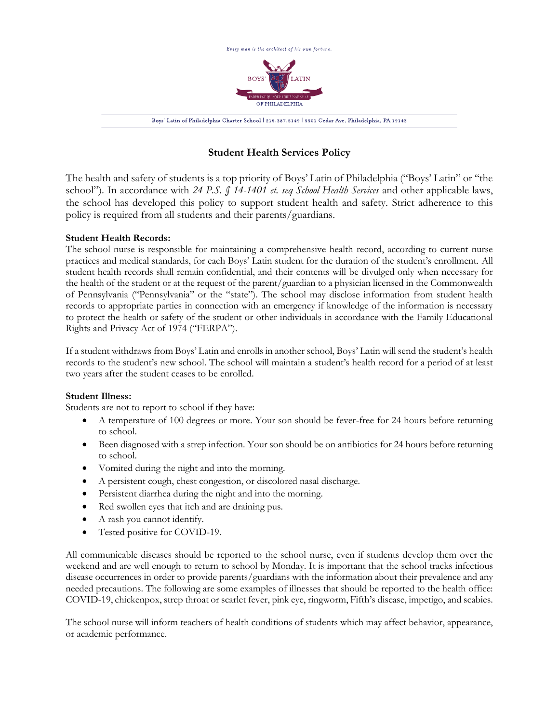

# **Student Health Services Policy**

The health and safety of students is a top priority of Boys' Latin of Philadelphia ("Boys' Latin" or "the school"). In accordance with *24 P.S. § 14-1401 et. seq School Health Services* and other applicable laws, the school has developed this policy to support student health and safety. Strict adherence to this policy is required from all students and their parents/guardians.

## **Student Health Records:**

The school nurse is responsible for maintaining a comprehensive health record, according to current nurse practices and medical standards, for each Boys' Latin student for the duration of the student's enrollment. All student health records shall remain confidential, and their contents will be divulged only when necessary for the health of the student or at the request of the parent/guardian to a physician licensed in the Commonwealth of Pennsylvania ("Pennsylvania" or the "state"). The school may disclose information from student health records to appropriate parties in connection with an emergency if knowledge of the information is necessary to protect the health or safety of the student or other individuals in accordance with the Family Educational Rights and Privacy Act of 1974 ("FERPA").

If a student withdraws from Boys' Latin and enrolls in another school, Boys' Latin will send the student's health records to the student's new school. The school will maintain a student's health record for a period of at least two years after the student ceases to be enrolled.

## **Student Illness:**

Students are not to report to school if they have:

- A temperature of 100 degrees or more. Your son should be fever-free for 24 hours before returning to school.
- Been diagnosed with a strep infection. Your son should be on antibiotics for 24 hours before returning to school.
- Vomited during the night and into the morning.
- A persistent cough, chest congestion, or discolored nasal discharge.
- Persistent diarrhea during the night and into the morning.
- Red swollen eyes that itch and are draining pus.
- A rash you cannot identify.
- Tested positive for COVID-19.

All communicable diseases should be reported to the school nurse, even if students develop them over the weekend and are well enough to return to school by Monday. It is important that the school tracks infectious disease occurrences in order to provide parents/guardians with the information about their prevalence and any needed precautions. The following are some examples of illnesses that should be reported to the health office: COVID-19, chickenpox, strep throat or scarlet fever, pink eye, ringworm, Fifth's disease, impetigo, and scabies.

The school nurse will inform teachers of health conditions of students which may affect behavior, appearance, or academic performance.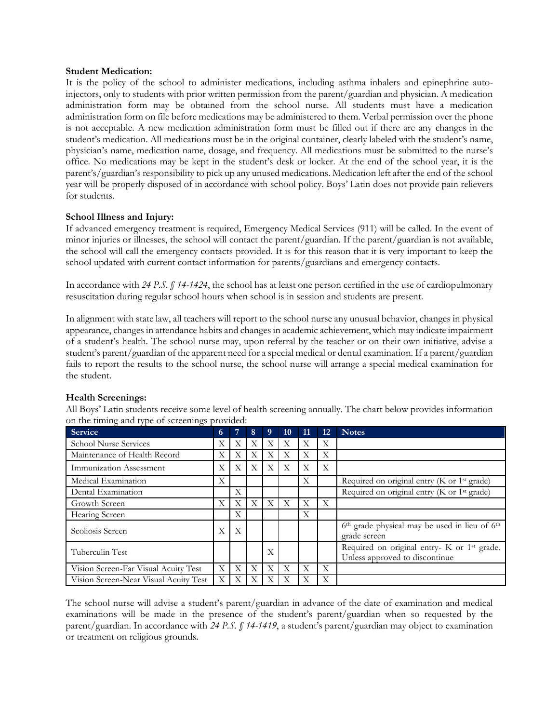#### **Student Medication:**

It is the policy of the school to administer medications, including asthma inhalers and epinephrine autoinjectors, only to students with prior written permission from the parent/guardian and physician. A medication administration form may be obtained from the school nurse. All students must have a medication administration form on file before medications may be administered to them. Verbal permission over the phone is not acceptable. A new medication administration form must be filled out if there are any changes in the student's medication. All medications must be in the original container, clearly labeled with the student's name, physician's name, medication name, dosage, and frequency. All medications must be submitted to the nurse's office. No medications may be kept in the student's desk or locker. At the end of the school year, it is the parent's/guardian's responsibility to pick up any unused medications. Medication left after the end of the school year will be properly disposed of in accordance with school policy. Boys' Latin does not provide pain relievers for students.

#### **School Illness and Injury:**

If advanced emergency treatment is required, Emergency Medical Services (911) will be called. In the event of minor injuries or illnesses, the school will contact the parent/guardian. If the parent/guardian is not available, the school will call the emergency contacts provided. It is for this reason that it is very important to keep the school updated with current contact information for parents/guardians and emergency contacts.

In accordance with *24 P.S. § 14-1424*, the school has at least one person certified in the use of cardiopulmonary resuscitation during regular school hours when school is in session and students are present.

In alignment with state law, all teachers will report to the school nurse any unusual behavior, changes in physical appearance, changes in attendance habits and changes in academic achievement, which may indicate impairment of a student's health. The school nurse may, upon referral by the teacher or on their own initiative, advise a student's parent/guardian of the apparent need for a special medical or dental examination. If a parent/guardian fails to report the results to the school nurse, the school nurse will arrange a special medical examination for the student.

| <b>Service</b>                        | $\sqrt{6}$     |                | 8              | 9. | 10 | 11 | 12 | <b>Notes</b>                                                                              |
|---------------------------------------|----------------|----------------|----------------|----|----|----|----|-------------------------------------------------------------------------------------------|
| <b>School Nurse Services</b>          | Χ              | Χ              | X              | X  | X  | X  | X  |                                                                                           |
| Maintenance of Health Record          | Χ              | X              | X              | Χ  | X  | X  | Χ  |                                                                                           |
| Immunization Assessment               | Χ              | Χ              | X              | X  | X  | Χ  | Χ  |                                                                                           |
| Medical Examination                   | X              |                |                |    |    | X  |    | Required on original entry (K or 1 <sup>st</sup> grade)                                   |
| Dental Examination                    |                | $\overline{X}$ |                |    |    |    |    | Required on original entry (K or 1 <sup>st</sup> grade)                                   |
| Growth Screen                         | X              | $\mathbf{X}$   | $\overline{X}$ | X  | X  | X  | X  |                                                                                           |
| Hearing Screen                        |                | Χ              |                |    |    | X  |    |                                                                                           |
| Scoliosis Screen                      | X              | $\mathbf{X}$   |                |    |    |    |    | 6 <sup>th</sup> grade physical may be used in lieu of 6 <sup>th</sup><br>grade screen     |
| Tuberculin Test                       |                |                |                | X  |    |    |    | Required on original entry- K or 1 <sup>st</sup> grade.<br>Unless approved to discontinue |
| Vision Screen-Far Visual Acuity Test  | X              | X              | $\mathbf{X}$   | X  | X  | X  | X  |                                                                                           |
| Vision Screen-Near Visual Acuity Test | $\overline{X}$ | X              | X              | X  | X  | X  | Χ  |                                                                                           |

#### **Health Screenings:**

All Boys' Latin students receive some level of health screening annually. The chart below provides information on the timing and type of screenings provided:

The school nurse will advise a student's parent/guardian in advance of the date of examination and medical examinations will be made in the presence of the student's parent/guardian when so requested by the parent/guardian. In accordance with *24 P.S. § 14-1419*, a student's parent/guardian may object to examination or treatment on religious grounds.